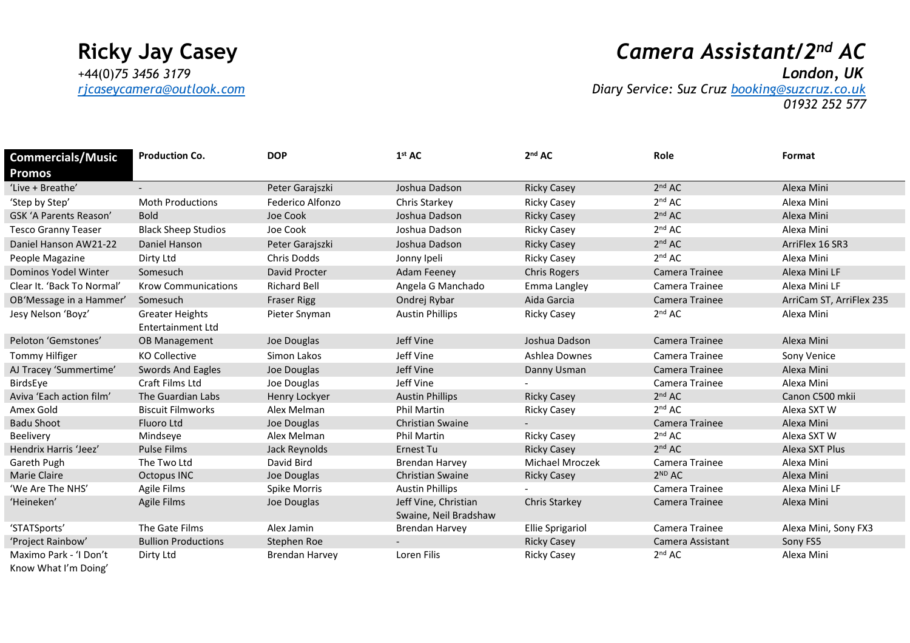# **Ricky Jay Casey** *Camera Assistant/2 nd AC*

*[rjcaseycamera@outlook.com](mailto:rjcaseycamera@outlook.com) Diary Service: Suz Cruz [booking@suzcruz.co.uk](mailto:booking@suzcruz.co.uk) 01932 252 577*

| <b>Commercials/Music</b>                       | <b>Production Co.</b>                              | <b>DOP</b>            | 1 <sup>st</sup> AC      | 2 <sup>nd</sup> AC      | Role               | Format                   |
|------------------------------------------------|----------------------------------------------------|-----------------------|-------------------------|-------------------------|--------------------|--------------------------|
| Promos                                         |                                                    |                       |                         |                         |                    |                          |
| 'Live + Breathe'                               |                                                    | Peter Garajszki       | Joshua Dadson           | <b>Ricky Casey</b>      | 2 <sup>nd</sup> AC | Alexa Mini               |
| 'Step by Step'                                 | <b>Moth Productions</b>                            | Federico Alfonzo      | Chris Starkey           | <b>Ricky Casey</b>      | 2 <sup>nd</sup> AC | Alexa Mini               |
| <b>GSK 'A Parents Reason'</b>                  | <b>Bold</b>                                        | Joe Cook              | Joshua Dadson           | <b>Ricky Casey</b>      | 2 <sup>nd</sup> AC | Alexa Mini               |
| <b>Tesco Granny Teaser</b>                     | <b>Black Sheep Studios</b>                         | Joe Cook              | Joshua Dadson           | <b>Ricky Casey</b>      | 2 <sup>nd</sup> AC | Alexa Mini               |
| Daniel Hanson AW21-22                          | Daniel Hanson                                      | Peter Garajszki       | Joshua Dadson           | <b>Ricky Casey</b>      | 2 <sup>nd</sup> AC | ArriFlex 16 SR3          |
| People Magazine                                | Dirty Ltd                                          | <b>Chris Dodds</b>    | Jonny Ipeli             | <b>Ricky Casey</b>      | 2 <sup>nd</sup> AC | Alexa Mini               |
| Dominos Yodel Winter                           | Somesuch                                           | David Procter         | <b>Adam Feeney</b>      | <b>Chris Rogers</b>     | Camera Trainee     | Alexa Mini LF            |
| Clear It. 'Back To Normal'                     | <b>Krow Communications</b>                         | <b>Richard Bell</b>   | Angela G Manchado       | Emma Langley            | Camera Trainee     | Alexa Mini LF            |
| OB'Message in a Hammer'                        | Somesuch                                           | <b>Fraser Rigg</b>    | Ondrej Rybar            | Aida Garcia             | Camera Trainee     | ArriCam ST, ArriFlex 235 |
| Jesy Nelson 'Boyz'                             | <b>Greater Heights</b><br><b>Entertainment Ltd</b> | Pieter Snyman         | <b>Austin Phillips</b>  | <b>Ricky Casey</b>      | 2 <sup>nd</sup> AC | Alexa Mini               |
| Peloton 'Gemstones'                            | <b>OB Management</b>                               | Joe Douglas           | Jeff Vine               | Joshua Dadson           | Camera Trainee     | Alexa Mini               |
| Tommy Hilfiger                                 | <b>KO Collective</b>                               | Simon Lakos           | Jeff Vine               | Ashlea Downes           | Camera Trainee     | Sony Venice              |
| AJ Tracey 'Summertime'                         | Swords And Eagles                                  | Joe Douglas           | Jeff Vine               | Danny Usman             | Camera Trainee     | Alexa Mini               |
| BirdsEye                                       | Craft Films Ltd                                    | Joe Douglas           | Jeff Vine               |                         | Camera Trainee     | Alexa Mini               |
| Aviva 'Each action film'                       | The Guardian Labs                                  | Henry Lockyer         | <b>Austin Phillips</b>  | <b>Ricky Casey</b>      | 2 <sup>nd</sup> AC | Canon C500 mkii          |
| Amex Gold                                      | <b>Biscuit Filmworks</b>                           | Alex Melman           | <b>Phil Martin</b>      | <b>Ricky Casey</b>      | 2 <sup>nd</sup> AC | Alexa SXT W              |
| <b>Badu Shoot</b>                              | <b>Fluoro Ltd</b>                                  | Joe Douglas           | <b>Christian Swaine</b> |                         | Camera Trainee     | Alexa Mini               |
| Beelivery                                      | Mindseye                                           | Alex Melman           | Phil Martin             | <b>Ricky Casey</b>      | 2 <sup>nd</sup> AC | Alexa SXT W              |
| Hendrix Harris 'Jeez'                          | <b>Pulse Films</b>                                 | Jack Reynolds         | <b>Ernest Tu</b>        | <b>Ricky Casey</b>      | 2 <sup>nd</sup> AC | Alexa SXT Plus           |
| Gareth Pugh                                    | The Two Ltd                                        | David Bird            | <b>Brendan Harvey</b>   | Michael Mroczek         | Camera Trainee     | Alexa Mini               |
| <b>Marie Claire</b>                            | Octopus INC                                        | Joe Douglas           | <b>Christian Swaine</b> | <b>Ricky Casey</b>      | 2 <sup>ND</sup> AC | Alexa Mini               |
| 'We Are The NHS'                               | <b>Agile Films</b>                                 | Spike Morris          | <b>Austin Phillips</b>  |                         | Camera Trainee     | Alexa Mini LF            |
| 'Heineken'                                     | Agile Films                                        | Joe Douglas           | Jeff Vine, Christian    | <b>Chris Starkey</b>    | Camera Trainee     | Alexa Mini               |
|                                                |                                                    |                       | Swaine, Neil Bradshaw   |                         |                    |                          |
| 'STATSports'                                   | The Gate Films                                     | Alex Jamin            | <b>Brendan Harvey</b>   | <b>Ellie Sprigariol</b> | Camera Trainee     | Alexa Mini, Sony FX3     |
| 'Project Rainbow'                              | <b>Bullion Productions</b>                         | Stephen Roe           |                         | <b>Ricky Casey</b>      | Camera Assistant   | Sony FS5                 |
| Maximo Park - 'I Don't<br>Know What I'm Doing' | Dirty Ltd                                          | <b>Brendan Harvey</b> | Loren Filis             | <b>Ricky Casey</b>      | 2 <sup>nd</sup> AC | Alexa Mini               |